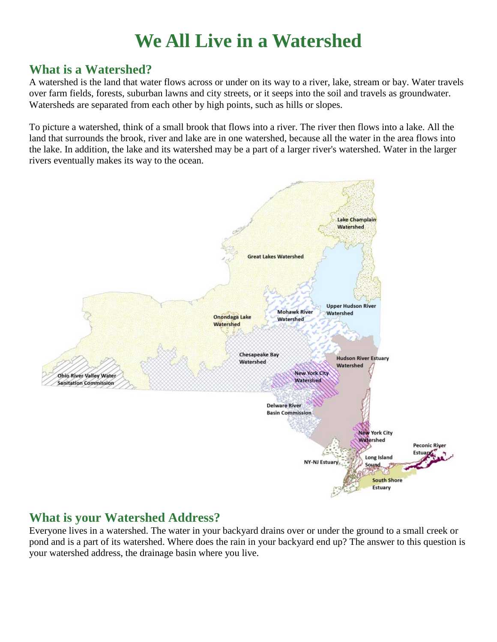# **We All Live in a Watershed**

#### **What is a Watershed?**

A watershed is the land that water flows across or under on its way to a river, lake, stream or bay. Water travels over farm fields, forests, suburban lawns and city streets, or it seeps into the soil and travels as groundwater. Watersheds are separated from each other by high points, such as hills or slopes.

To picture a watershed, think of a small brook that flows into a river. The river then flows into a lake. All the land that surrounds the brook, river and lake are in one watershed, because all the water in the area flows into the lake. In addition, the lake and its watershed may be a part of a larger river's watershed. Water in the larger rivers eventually makes its way to the ocean.



### **What is your Watershed Address?**

Everyone lives in a watershed. The water in your backyard drains over or under the ground to a small creek or pond and is a part of its watershed. Where does the rain in your backyard end up? The answer to this question is your watershed address, the drainage basin where you live.